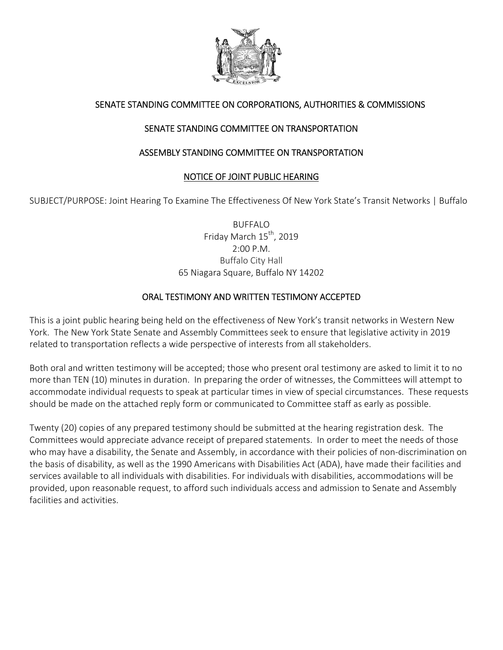

# SENATE STANDING COMMITTEE ON CORPORATIONS, AUTHORITIES & COMMISSIONS

# SENATE STANDING COMMITTEE ON TRANSPORTATION

### ASSEMBLY STANDING COMMITTEE ON TRANSPORTATION

### NOTICE OF JOINT PUBLIC HEARING

SUBJECT/PURPOSE: Joint Hearing To Examine The Effectiveness Of New York State's Transit Networks | Buffalo

BUFFALO Friday March 15<sup>th</sup>, 2019 2:00 P.M. Buffalo City Hall 65 Niagara Square, Buffalo NY 14202

### ORAL TESTIMONY AND WRITTEN TESTIMONY ACCEPTED

This is a joint public hearing being held on the effectiveness of New York's transit networks in Western New York. The New York State Senate and Assembly Committees seekto ensure that legislative activity in 2019 related to transportation reflects a wide perspective of interests from all stakeholders.

Both oral and written testimony will be accepted; those who present oral testimony are asked to limit it to no more than TEN (10) minutes in duration. In preparing the order of witnesses, the Committees will attempt to accommodate individual requests to speak at particular times in view of special circumstances. These requests should be made on the attached reply form or communicated to Committee staff as early as possible.

Twenty (20) copies of any prepared testimony should be submitted at the hearing registration desk. The Committees would appreciate advance receipt of prepared statements. In order to meet the needs of those who may have a disability, the Senate and Assembly, in accordance with their policies of non‐discrimination on the basis of disability, as well as the 1990 Americans with Disabilities Act (ADA), have made their facilities and services available to all individuals with disabilities. For individuals with disabilities, accommodations will be provided, upon reasonable request, to afford such individuals access and admission to Senate and Assembly facilities and activities.